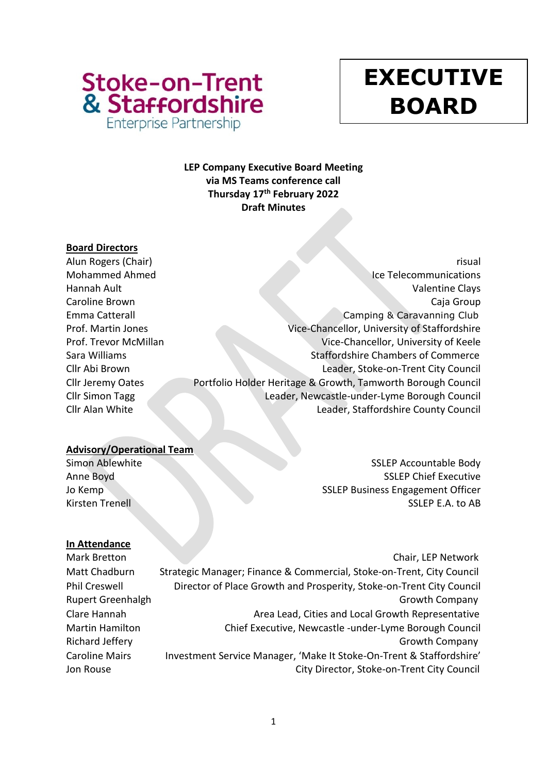

# **y EXECUTIVE BOARD**

# **LEP Company Executive Board Meeting via MS Teams conference call Thursday 17th February 2022 Draft Minutes**

## **Board Directors**

Alun Rogers (Chair) risual Mohammed Ahmed Ice Telecommunications Hannah Ault Valentine Clays Caroline Brown Caja Group Emma Catterall Camping & Caravanning Club Prof. Martin Jones Vice-Chancellor, University of Staffordshire Prof. Trevor McMillan Vice-Chancellor, University of Keele Sara Williams Staffordshire Chambers of Commerce Cllr Abi Brown Leader, Stoke-on-Trent City Council Cllr Jeremy Oates Portfolio Holder Heritage & Growth, Tamworth Borough Council Cllr Simon Tagg Leader, Newcastle-under-Lyme Borough Council Cllr Alan White Leader, Staffordshire County Council

## **Advisory/Operational Team**

Simon Ablewhite Simon Ablewhite SSLEP Accountable Body Anne Boyd SSLEP Chief Executive Jo Kemp SSLEP Business Engagement Officer Kirsten Trenell SSLEP E.A. to AB

## **In Attendance**

Mark Bretton **Chair, LEP Network** Matt Chadburn Strategic Manager; Finance & Commercial, Stoke-on-Trent, City Council Phil Creswell **Director of Place Growth and Prosperity, Stoke-on-Trent City Council** Rupert Greenhalgh Growth Company Company Company Company Company Clare Hannah **Area Lead, Cities and Local Growth Representative** Area Lead, Cities and Local Growth Representative Martin Hamilton Chief Executive, Newcastle -under-Lyme Borough Council Richard Jeffery **Growth Company** Growth Company Caroline Mairs Investment Service Manager, 'Make It Stoke-On-Trent & Staffordshire' Jon Rouse City Director, Stoke-on-Trent City Council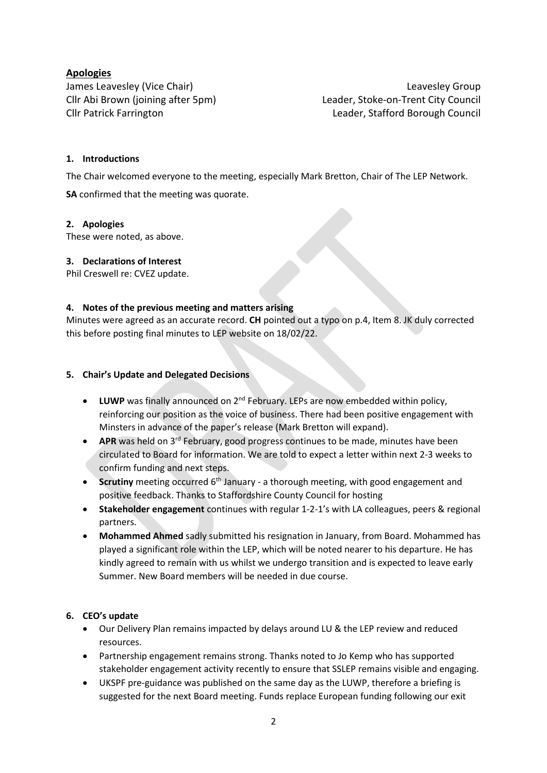## **Apologies**

James Leavesley (Vice Chair) and the control of the case of the case of the case of the case of the case of the case of the case of the case of the case of the case of the case of the case of the case of the case of the ca Cllr Abi Brown (joining after 5pm) Leader, Stoke-on-Trent City Council Cllr Patrick Farrington Leader, Stafford Borough Council

## **1. Introductions**

The Chair welcomed everyone to the meeting, especially Mark Bretton, Chair of The LEP Network.

**SA** confirmed that the meeting was quorate.

#### **2. Apologies**

These were noted, as above.

## **3. Declarations of Interest**

Phil Creswell re: CVEZ update.

#### **4. Notes of the previous meeting and matters arising**

Minutes were agreed as an accurate record. **CH** pointed out a typo on p.4, Item 8. JK duly corrected this before posting final minutes to LEP website on 18/02/22.

#### **5. Chair's Update and Delegated Decisions**

- LUWP was finally announced on 2<sup>nd</sup> February. LEPs are now embedded within policy, reinforcing our position as the voice of business. There had been positive engagement with Minsters in advance of the paper's release (Mark Bretton will expand).
- APR was held on 3<sup>rd</sup> February, good progress continues to be made, minutes have been circulated to Board for information. We are told to expect a letter within next 2-3 weeks to confirm funding and next steps.
- **Scrutiny** meeting occurred 6<sup>th</sup> January a thorough meeting, with good engagement and positive feedback. Thanks to Staffordshire County Council for hosting
- **Stakeholder engagement** continues with regular 1-2-1's with LA colleagues, peers & regional partners.
- **Mohammed Ahmed** sadly submitted his resignation in January, from Board. Mohammed has played a significant role within the LEP, which will be noted nearer to his departure. He has kindly agreed to remain with us whilst we undergo transition and is expected to leave early Summer. New Board members will be needed in due course.

## **6. CEO's update**

- Our Delivery Plan remains impacted by delays around LU & the LEP review and reduced resources.
- Partnership engagement remains strong. Thanks noted to Jo Kemp who has supported stakeholder engagement activity recently to ensure that SSLEP remains visible and engaging.
- UKSPF pre-guidance was published on the same day as the LUWP, therefore a briefing is suggested for the next Board meeting. Funds replace European funding following our exit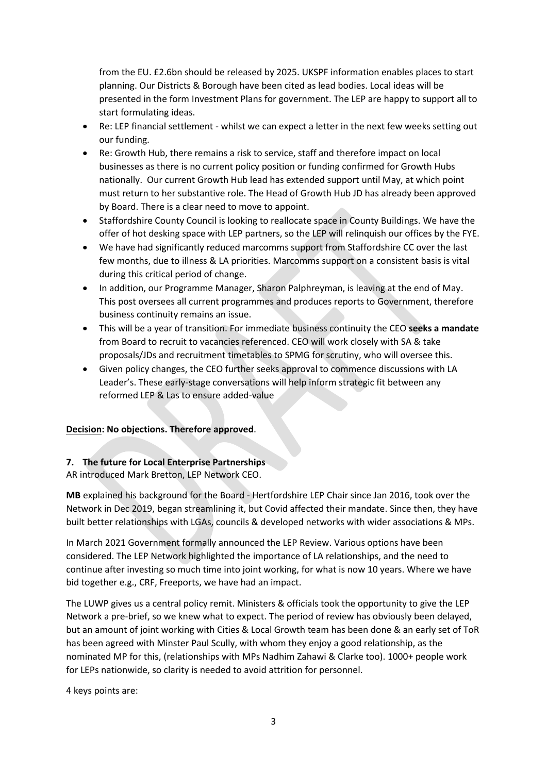from the EU. £2.6bn should be released by 2025. UKSPF information enables places to start planning. Our Districts & Borough have been cited as lead bodies. Local ideas will be presented in the form Investment Plans for government. The LEP are happy to support all to start formulating ideas.

- Re: LEP financial settlement whilst we can expect a letter in the next few weeks setting out our funding.
- Re: Growth Hub, there remains a risk to service, staff and therefore impact on local businesses as there is no current policy position or funding confirmed for Growth Hubs nationally. Our current Growth Hub lead has extended support until May, at which point must return to her substantive role. The Head of Growth Hub JD has already been approved by Board. There is a clear need to move to appoint.
- Staffordshire County Council is looking to reallocate space in County Buildings. We have the offer of hot desking space with LEP partners, so the LEP will relinquish our offices by the FYE.
- We have had significantly reduced marcomms support from Staffordshire CC over the last few months, due to illness & LA priorities. Marcomms support on a consistent basis is vital during this critical period of change.
- In addition, our Programme Manager, Sharon Palphreyman, is leaving at the end of May. This post oversees all current programmes and produces reports to Government, therefore business continuity remains an issue.
- This will be a year of transition. For immediate business continuity the CEO **seeks a mandate** from Board to recruit to vacancies referenced. CEO will work closely with SA & take proposals/JDs and recruitment timetables to SPMG for scrutiny, who will oversee this.
- Given policy changes, the CEO further seeks approval to commence discussions with LA Leader's. These early-stage conversations will help inform strategic fit between any reformed LEP & Las to ensure added-value

## **Decision: No objections. Therefore approved**.

## **7. The future for Local Enterprise Partnerships**

AR introduced Mark Bretton, LEP Network CEO.

**MB** explained his background for the Board - Hertfordshire LEP Chair since Jan 2016, took over the Network in Dec 2019, began streamlining it, but Covid affected their mandate. Since then, they have built better relationships with LGAs, councils & developed networks with wider associations & MPs.

In March 2021 Government formally announced the LEP Review. Various options have been considered. The LEP Network highlighted the importance of LA relationships, and the need to continue after investing so much time into joint working, for what is now 10 years. Where we have bid together e.g., CRF, Freeports, we have had an impact.

The LUWP gives us a central policy remit. Ministers & officials took the opportunity to give the LEP Network a pre-brief, so we knew what to expect. The period of review has obviously been delayed, but an amount of joint working with Cities & Local Growth team has been done & an early set of ToR has been agreed with Minster Paul Scully, with whom they enjoy a good relationship, as the nominated MP for this, (relationships with MPs Nadhim Zahawi & Clarke too). 1000+ people work for LEPs nationwide, so clarity is needed to avoid attrition for personnel.

4 keys points are: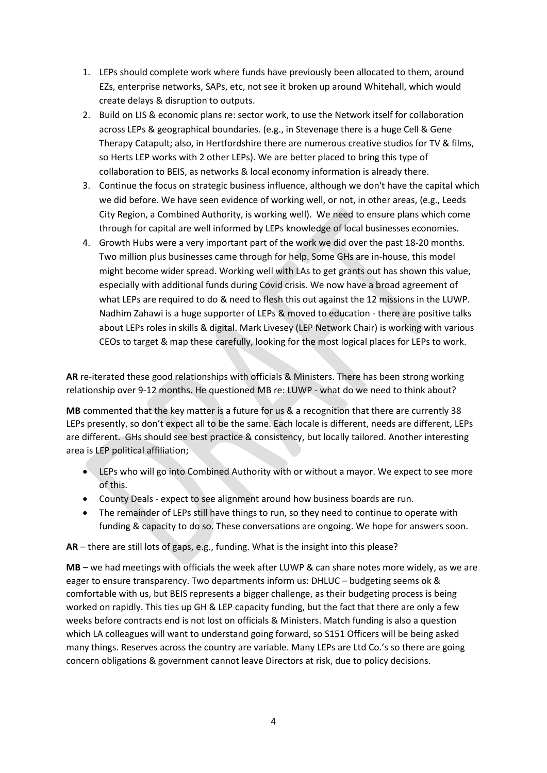- 1. LEPs should complete work where funds have previously been allocated to them, around EZs, enterprise networks, SAPs, etc, not see it broken up around Whitehall, which would create delays & disruption to outputs.
- 2. Build on LIS & economic plans re: sector work, to use the Network itself for collaboration across LEPs & geographical boundaries. (e.g., in Stevenage there is a huge Cell & Gene Therapy Catapult; also, in Hertfordshire there are numerous creative studios for TV & films, so Herts LEP works with 2 other LEPs). We are better placed to bring this type of collaboration to BEIS, as networks & local economy information is already there.
- 3. Continue the focus on strategic business influence, although we don't have the capital which we did before. We have seen evidence of working well, or not, in other areas, (e.g., Leeds City Region, a Combined Authority, is working well). We need to ensure plans which come through for capital are well informed by LEPs knowledge of local businesses economies.
- 4. Growth Hubs were a very important part of the work we did over the past 18-20 months. Two million plus businesses came through for help. Some GHs are in-house, this model might become wider spread. Working well with LAs to get grants out has shown this value, especially with additional funds during Covid crisis. We now have a broad agreement of what LEPs are required to do & need to flesh this out against the 12 missions in the LUWP. Nadhim Zahawi is a huge supporter of LEPs & moved to education - there are positive talks about LEPs roles in skills & digital. Mark Livesey (LEP Network Chair) is working with various CEOs to target & map these carefully, looking for the most logical places for LEPs to work.

**AR** re-iterated these good relationships with officials & Ministers. There has been strong working relationship over 9-12 months. He questioned MB re: LUWP - what do we need to think about?

**MB** commented that the key matter is a future for us & a recognition that there are currently 38 LEPs presently, so don't expect all to be the same. Each locale is different, needs are different, LEPs are different. GHs should see best practice & consistency, but locally tailored. Another interesting area is LEP political affiliation;

- LEPs who will go into Combined Authority with or without a mayor. We expect to see more of this.
- County Deals expect to see alignment around how business boards are run.
- The remainder of LEPs still have things to run, so they need to continue to operate with funding & capacity to do so. These conversations are ongoing. We hope for answers soon.

**AR** – there are still lots of gaps, e.g., funding. What is the insight into this please?

**MB** – we had meetings with officials the week after LUWP & can share notes more widely, as we are eager to ensure transparency. Two departments inform us: DHLUC – budgeting seems ok & comfortable with us, but BEIS represents a bigger challenge, as their budgeting process is being worked on rapidly. This ties up GH & LEP capacity funding, but the fact that there are only a few weeks before contracts end is not lost on officials & Ministers. Match funding is also a question which LA colleagues will want to understand going forward, so S151 Officers will be being asked many things. Reserves across the country are variable. Many LEPs are Ltd Co.'s so there are going concern obligations & government cannot leave Directors at risk, due to policy decisions.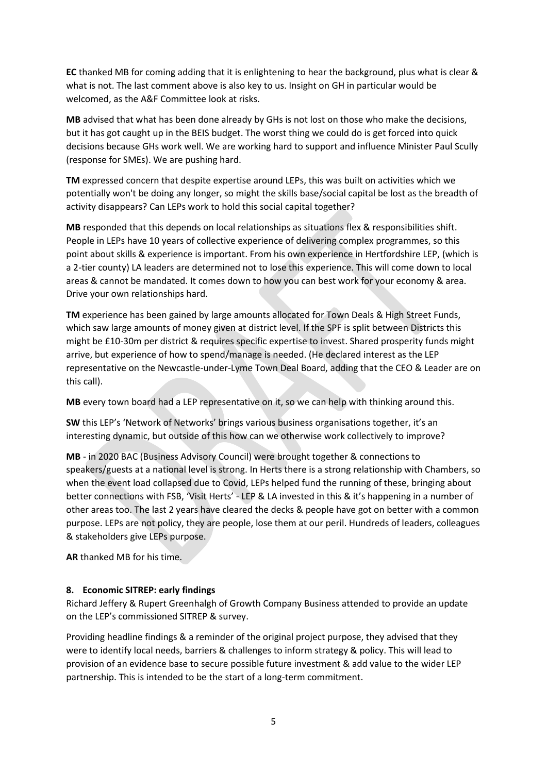**EC** thanked MB for coming adding that it is enlightening to hear the background, plus what is clear & what is not. The last comment above is also key to us. Insight on GH in particular would be welcomed, as the A&F Committee look at risks.

**MB** advised that what has been done already by GHs is not lost on those who make the decisions, but it has got caught up in the BEIS budget. The worst thing we could do is get forced into quick decisions because GHs work well. We are working hard to support and influence Minister Paul Scully (response for SMEs). We are pushing hard.

**TM** expressed concern that despite expertise around LEPs, this was built on activities which we potentially won't be doing any longer, so might the skills base/social capital be lost as the breadth of activity disappears? Can LEPs work to hold this social capital together?

**MB** responded that this depends on local relationships as situations flex & responsibilities shift. People in LEPs have 10 years of collective experience of delivering complex programmes, so this point about skills & experience is important. From his own experience in Hertfordshire LEP, (which is a 2-tier county) LA leaders are determined not to lose this experience. This will come down to local areas & cannot be mandated. It comes down to how you can best work for your economy & area. Drive your own relationships hard.

**TM** experience has been gained by large amounts allocated for Town Deals & High Street Funds, which saw large amounts of money given at district level. If the SPF is split between Districts this might be £10-30m per district & requires specific expertise to invest. Shared prosperity funds might arrive, but experience of how to spend/manage is needed. (He declared interest as the LEP representative on the Newcastle-under-Lyme Town Deal Board, adding that the CEO & Leader are on this call).

**MB** every town board had a LEP representative on it, so we can help with thinking around this.

**SW** this LEP's 'Network of Networks' brings various business organisations together, it's an interesting dynamic, but outside of this how can we otherwise work collectively to improve?

**MB** - in 2020 BAC (Business Advisory Council) were brought together & connections to speakers/guests at a national level is strong. In Herts there is a strong relationship with Chambers, so when the event load collapsed due to Covid, LEPs helped fund the running of these, bringing about better connections with FSB, 'Visit Herts' - LEP & LA invested in this & it's happening in a number of other areas too. The last 2 years have cleared the decks & people have got on better with a common purpose. LEPs are not policy, they are people, lose them at our peril. Hundreds of leaders, colleagues & stakeholders give LEPs purpose.

**AR** thanked MB for his time.

## **8. Economic SITREP: early findings**

Richard Jeffery & Rupert Greenhalgh of Growth Company Business attended to provide an update on the LEP's commissioned SITREP & survey.

Providing headline findings & a reminder of the original project purpose, they advised that they were to identify local needs, barriers & challenges to inform strategy & policy. This will lead to provision of an evidence base to secure possible future investment & add value to the wider LEP partnership. This is intended to be the start of a long-term commitment.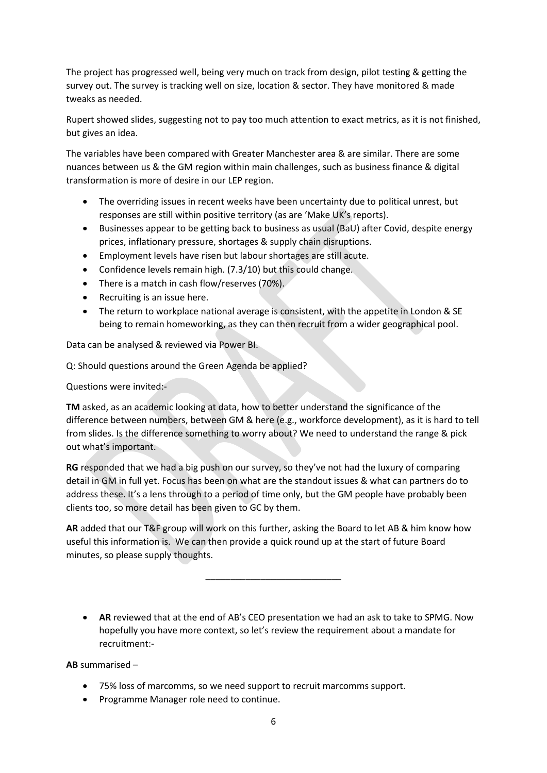The project has progressed well, being very much on track from design, pilot testing & getting the survey out. The survey is tracking well on size, location & sector. They have monitored & made tweaks as needed.

Rupert showed slides, suggesting not to pay too much attention to exact metrics, as it is not finished, but gives an idea.

The variables have been compared with Greater Manchester area & are similar. There are some nuances between us & the GM region within main challenges, such as business finance & digital transformation is more of desire in our LEP region.

- The overriding issues in recent weeks have been uncertainty due to political unrest, but responses are still within positive territory (as are 'Make UK's reports).
- Businesses appear to be getting back to business as usual (BaU) after Covid, despite energy prices, inflationary pressure, shortages & supply chain disruptions.
- Employment levels have risen but labour shortages are still acute.
- Confidence levels remain high. (7.3/10) but this could change.
- There is a match in cash flow/reserves (70%).
- Recruiting is an issue here.
- The return to workplace national average is consistent, with the appetite in London & SE being to remain homeworking, as they can then recruit from a wider geographical pool.

Data can be analysed & reviewed via Power BI.

Q: Should questions around the Green Agenda be applied?

Questions were invited:-

**TM** asked, as an academic looking at data, how to better understand the significance of the difference between numbers, between GM & here (e.g., workforce development), as it is hard to tell from slides. Is the difference something to worry about? We need to understand the range & pick out what's important.

**RG** responded that we had a big push on our survey, so they've not had the luxury of comparing detail in GM in full yet. Focus has been on what are the standout issues & what can partners do to address these. It's a lens through to a period of time only, but the GM people have probably been clients too, so more detail has been given to GC by them.

**AR** added that our T&F group will work on this further, asking the Board to let AB & him know how useful this information is. We can then provide a quick round up at the start of future Board minutes, so please supply thoughts.

\_\_\_\_\_\_\_\_\_\_\_\_\_\_\_\_\_\_\_\_\_\_\_\_\_\_\_

• **AR** reviewed that at the end of AB's CEO presentation we had an ask to take to SPMG. Now hopefully you have more context, so let's review the requirement about a mandate for recruitment:-

**AB** summarised –

- 75% loss of marcomms, so we need support to recruit marcomms support.
- Programme Manager role need to continue.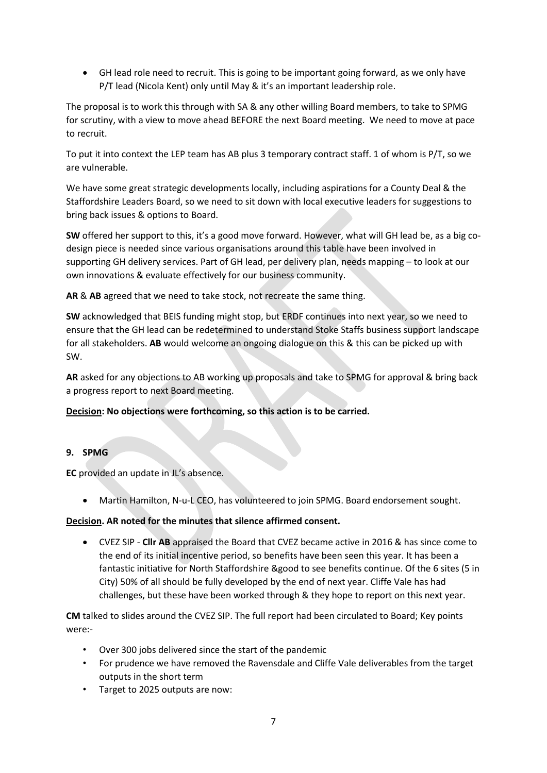• GH lead role need to recruit. This is going to be important going forward, as we only have P/T lead (Nicola Kent) only until May & it's an important leadership role.

The proposal is to work this through with SA & any other willing Board members, to take to SPMG for scrutiny, with a view to move ahead BEFORE the next Board meeting. We need to move at pace to recruit.

To put it into context the LEP team has AB plus 3 temporary contract staff. 1 of whom is P/T, so we are vulnerable.

We have some great strategic developments locally, including aspirations for a County Deal & the Staffordshire Leaders Board, so we need to sit down with local executive leaders for suggestions to bring back issues & options to Board.

**SW** offered her support to this, it's a good move forward. However, what will GH lead be, as a big codesign piece is needed since various organisations around this table have been involved in supporting GH delivery services. Part of GH lead, per delivery plan, needs mapping – to look at our own innovations & evaluate effectively for our business community.

**AR** & **AB** agreed that we need to take stock, not recreate the same thing.

**SW** acknowledged that BEIS funding might stop, but ERDF continues into next year, so we need to ensure that the GH lead can be redetermined to understand Stoke Staffs business support landscape for all stakeholders. **AB** would welcome an ongoing dialogue on this & this can be picked up with SW.

**AR** asked for any objections to AB working up proposals and take to SPMG for approval & bring back a progress report to next Board meeting.

## **Decision: No objections were forthcoming, so this action is to be carried.**

## **9. SPMG**

**EC** provided an update in JL's absence.

• Martin Hamilton, N-u-L CEO, has volunteered to join SPMG. Board endorsement sought.

## **Decision. AR noted for the minutes that silence affirmed consent.**

• CVEZ SIP - **Cllr AB** appraised the Board that CVEZ became active in 2016 & has since come to the end of its initial incentive period, so benefits have been seen this year. It has been a fantastic initiative for North Staffordshire &good to see benefits continue. Of the 6 sites (5 in City) 50% of all should be fully developed by the end of next year. Cliffe Vale has had challenges, but these have been worked through & they hope to report on this next year.

**CM** talked to slides around the CVEZ SIP. The full report had been circulated to Board; Key points were:-

- Over 300 jobs delivered since the start of the pandemic
- For prudence we have removed the Ravensdale and Cliffe Vale deliverables from the target outputs in the short term
- Target to 2025 outputs are now: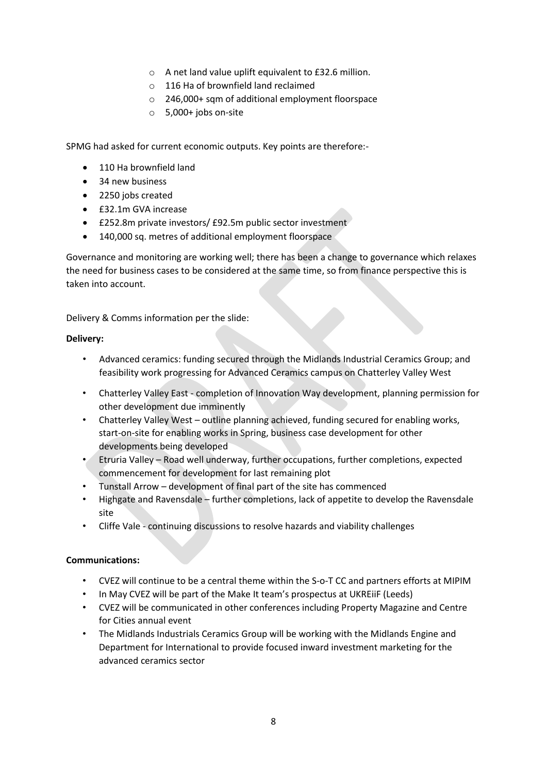- o A net land value uplift equivalent to £32.6 million.
- o 116 Ha of brownfield land reclaimed
- o 246,000+ sqm of additional employment floorspace
- o 5,000+ jobs on-site

SPMG had asked for current economic outputs. Key points are therefore:-

- 110 Ha brownfield land
- 34 new business
- 2250 jobs created
- £32.1m GVA increase
- £252.8m private investors/ £92.5m public sector investment
- 140,000 sq. metres of additional employment floorspace

Governance and monitoring are working well; there has been a change to governance which relaxes the need for business cases to be considered at the same time, so from finance perspective this is taken into account.

Delivery & Comms information per the slide:

#### **Delivery:**

- Advanced ceramics: funding secured through the Midlands Industrial Ceramics Group; and feasibility work progressing for Advanced Ceramics campus on Chatterley Valley West
- Chatterley Valley East completion of Innovation Way development, planning permission for other development due imminently
- Chatterley Valley West outline planning achieved, funding secured for enabling works, start-on-site for enabling works in Spring, business case development for other developments being developed
- Etruria Valley Road well underway, further occupations, further completions, expected commencement for development for last remaining plot
- Tunstall Arrow development of final part of the site has commenced
- Highgate and Ravensdale further completions, lack of appetite to develop the Ravensdale site
- Cliffe Vale continuing discussions to resolve hazards and viability challenges

#### **Communications:**

- CVEZ will continue to be a central theme within the S-o-T CC and partners efforts at MIPIM
- In May CVEZ will be part of the Make It team's prospectus at UKREiiF (Leeds)
- CVEZ will be communicated in other conferences including Property Magazine and Centre for Cities annual event
- The Midlands Industrials Ceramics Group will be working with the Midlands Engine and Department for International to provide focused inward investment marketing for the advanced ceramics sector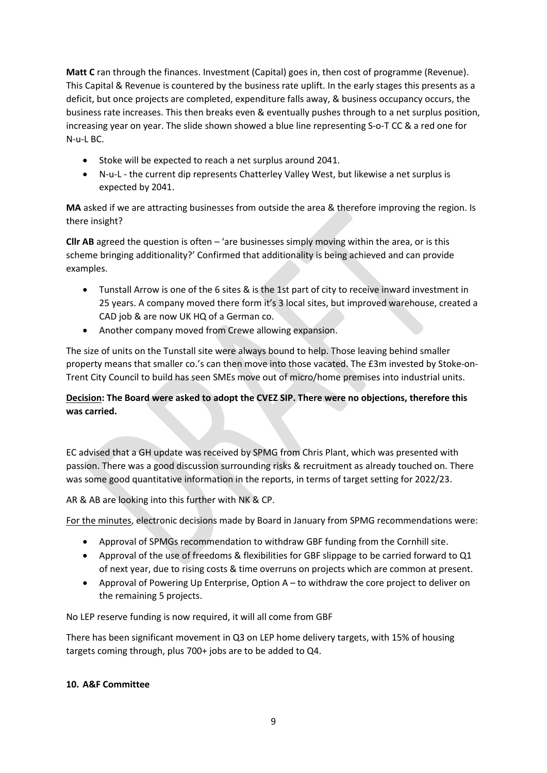**Matt C** ran through the finances. Investment (Capital) goes in, then cost of programme (Revenue). This Capital & Revenue is countered by the business rate uplift. In the early stages this presents as a deficit, but once projects are completed, expenditure falls away, & business occupancy occurs, the business rate increases. This then breaks even & eventually pushes through to a net surplus position, increasing year on year. The slide shown showed a blue line representing S-o-T CC & a red one for N-u-L BC.

- Stoke will be expected to reach a net surplus around 2041.
- N-u-L the current dip represents Chatterley Valley West, but likewise a net surplus is expected by 2041.

**MA** asked if we are attracting businesses from outside the area & therefore improving the region. Is there insight?

**Cllr AB** agreed the question is often – 'are businesses simply moving within the area, or is this scheme bringing additionality?' Confirmed that additionality is being achieved and can provide examples.

- Tunstall Arrow is one of the 6 sites & is the 1st part of city to receive inward investment in 25 years. A company moved there form it's 3 local sites, but improved warehouse, created a CAD job & are now UK HQ of a German co.
- Another company moved from Crewe allowing expansion.

The size of units on the Tunstall site were always bound to help. Those leaving behind smaller property means that smaller co.'s can then move into those vacated. The £3m invested by Stoke-on-Trent City Council to build has seen SMEs move out of micro/home premises into industrial units.

## **Decision: The Board were asked to adopt the CVEZ SIP. There were no objections, therefore this was carried.**

EC advised that a GH update was received by SPMG from Chris Plant, which was presented with passion. There was a good discussion surrounding risks & recruitment as already touched on. There was some good quantitative information in the reports, in terms of target setting for 2022/23.

AR & AB are looking into this further with NK & CP.

For the minutes, electronic decisions made by Board in January from SPMG recommendations were:

- Approval of SPMGs recommendation to withdraw GBF funding from the Cornhill site.
- Approval of the use of freedoms & flexibilities for GBF slippage to be carried forward to Q1 of next year, due to rising costs & time overruns on projects which are common at present.
- Approval of Powering Up Enterprise, Option A to withdraw the core project to deliver on the remaining 5 projects.

No LEP reserve funding is now required, it will all come from GBF

There has been significant movement in Q3 on LEP home delivery targets, with 15% of housing targets coming through, plus 700+ jobs are to be added to Q4.

#### **10. A&F Committee**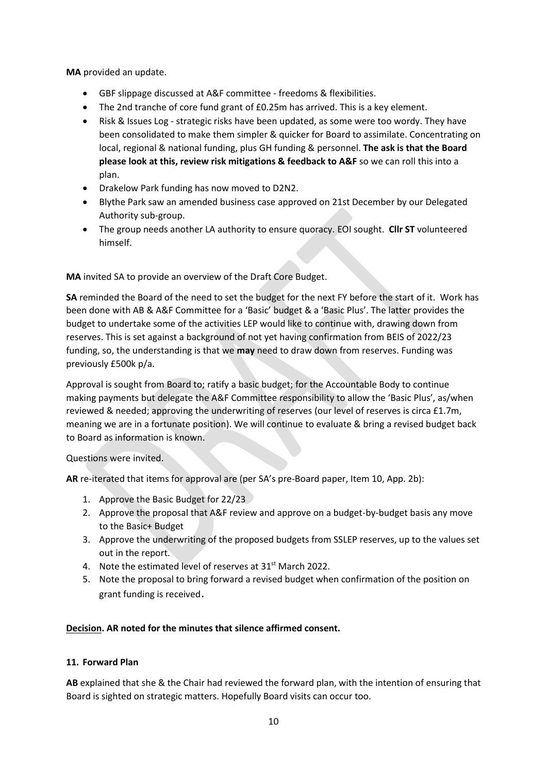**MA** provided an update.

- GBF slippage discussed at A&F committee freedoms & flexibilities.
- The 2nd tranche of core fund grant of £0.25m has arrived. This is a key element.
- Risk & Issues Log strategic risks have been updated, as some were too wordy. They have been consolidated to make them simpler & quicker for Board to assimilate. Concentrating on local, regional & national funding, plus GH funding & personnel. **The ask is that the Board please look at this, review risk mitigations & feedback to A&F** so we can roll this into a plan.
- Drakelow Park funding has now moved to D2N2.
- Blythe Park saw an amended business case approved on 21st December by our Delegated Authority sub-group.
- The group needs another LA authority to ensure quoracy. EOI sought. **Cllr ST** volunteered himself.

**MA** invited SA to provide an overview of the Draft Core Budget.

**SA** reminded the Board of the need to set the budget for the next FY before the start of it. Work has been done with AB & A&F Committee for a 'Basic' budget & a 'Basic Plus'. The latter provides the budget to undertake some of the activities LEP would like to continue with, drawing down from reserves. This is set against a background of not yet having confirmation from BEIS of 2022/23 funding, so, the understanding is that we **may** need to draw down from reserves. Funding was previously £500k p/a.

Approval is sought from Board to; ratify a basic budget; for the Accountable Body to continue making payments but delegate the A&F Committee responsibility to allow the 'Basic Plus', as/when reviewed & needed; approving the underwriting of reserves (our level of reserves is circa £1.7m, meaning we are in a fortunate position). We will continue to evaluate & bring a revised budget back to Board as information is known.

Questions were invited.

**AR** re-iterated that items for approval are (per SA's pre-Board paper, Item 10, App. 2b):

- 1. Approve the Basic Budget for 22/23
- 2. Approve the proposal that A&F review and approve on a budget-by-budget basis any move to the Basic+ Budget
- 3. Approve the underwriting of the proposed budgets from SSLEP reserves, up to the values set out in the report.
- 4. Note the estimated level of reserves at 31<sup>st</sup> March 2022.
- 5. Note the proposal to bring forward a revised budget when confirmation of the position on grant funding is received.

## **Decision. AR noted for the minutes that silence affirmed consent.**

## **11. Forward Plan**

**AB** explained that she & the Chair had reviewed the forward plan, with the intention of ensuring that Board is sighted on strategic matters. Hopefully Board visits can occur too.